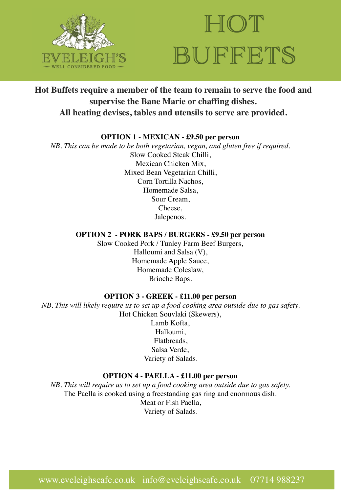



## **Hot Buffets require a member of the team to remain to serve the food and supervise the Bane Marie or chaffing dishes. All heating devises, tables and utensils to serve are provided.**

### **OPTION 1 - MEXICAN - £9.50 per person**

*NB. This can be made to be both vegetarian, vegan, and gluten free if required.* Slow Cooked Steak Chilli, Mexican Chicken Mix, Mixed Bean Vegetarian Chilli, Corn Tortilla Nachos, Homemade Salsa, Sour Cream, Cheese, Jalepenos.

### **OPTION 2 - PORK BAPS / BURGERS - £9.50 per person**

Slow Cooked Pork / Tunley Farm Beef Burgers, Halloumi and Salsa (V), Homemade Apple Sauce, Homemade Coleslaw, Brioche Baps.

### **OPTION 3 - GREEK - £11.00 per person**

*NB. This will likely require us to set up a food cooking area outside due to gas safety.* Hot Chicken Souvlaki (Skewers),

Lamb Kofta, Halloumi, Flatbreads, Salsa Verde, Variety of Salads.

### **OPTION 4 - PAELLA - £11.00 per person**

*NB. This will require us to set up a food cooking area outside due to gas safety.*  The Paella is cooked using a freestanding gas ring and enormous dish. Meat or Fish Paella, Variety of Salads.